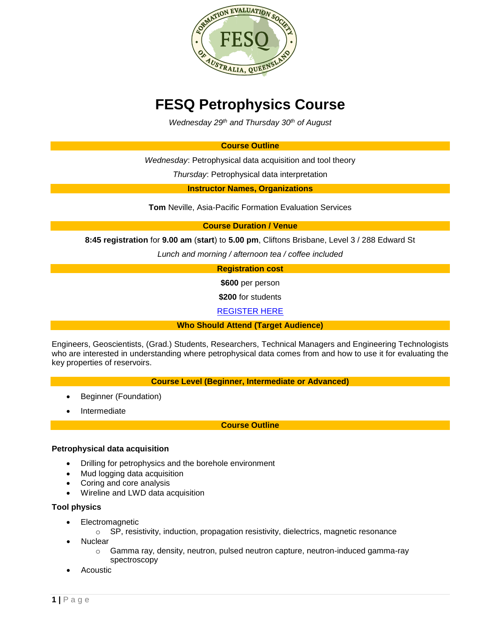

# **FESQ Petrophysics Course**

*Wednesday 29th and Thursday 30th of August*

### **Course Outline**

*Wednesday*: Petrophysical data acquisition and tool theory

*Thursday*: Petrophysical data interpretation

**Instructor Names, Organizations**

**Tom** Neville, Asia-Pacific Formation Evaluation Services

**Course Duration / Venue**

**8:45 registration** for **9.00 am** (**start**) to **5.00 pm**, Cliftons Brisbane, Level 3 / 288 Edward St

*Lunch and morning / afternoon tea / coffee included*

## **Registration cost**

**\$600** per person

**\$200** for students

[REGISTER HERE](https://www.fesaus.org/civicrm?page=CiviCRM&q=civicrm/event/info&reset=1&id=114)

**Who Should Attend (Target Audience)**

Engineers, Geoscientists, (Grad.) Students, Researchers, Technical Managers and Engineering Technologists who are interested in understanding where petrophysical data comes from and how to use it for evaluating the key properties of reservoirs.

**Course Level (Beginner, Intermediate or Advanced)**

- Beginner (Foundation)
- Intermediate

**Course Outline**

#### **Petrophysical data acquisition**

- Drilling for petrophysics and the borehole environment
- Mud logging data acquisition
- Coring and core analysis
- Wireline and LWD data acquisition

#### **Tool physics**

- Electromagnetic
	- o SP, resistivity, induction, propagation resistivity, dielectrics, magnetic resonance
- **Nuclear** 
	- $\circ$  Gamma ray, density, neutron, pulsed neutron capture, neutron-induced gamma-ray spectroscopy
- Acoustic